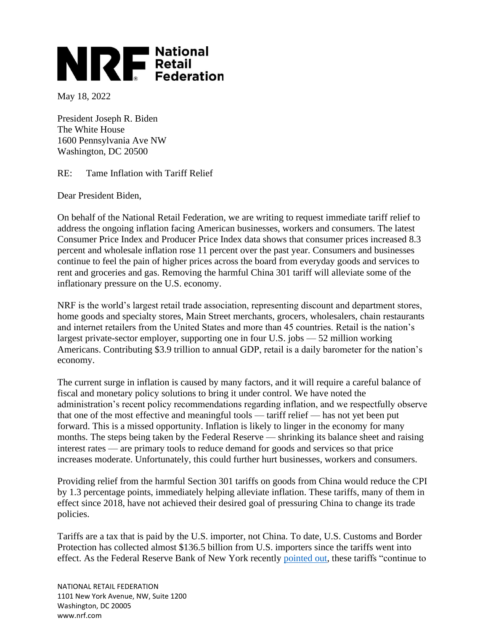## **NRE** National<br>Retail<br>Federation

May 18, 2022

President Joseph R. Biden The White House 1600 Pennsylvania Ave NW Washington, DC 20500

RE: Tame Inflation with Tariff Relief

Dear President Biden,

On behalf of the National Retail Federation, we are writing to request immediate tariff relief to address the ongoing inflation facing American businesses, workers and consumers. The latest Consumer Price Index and Producer Price Index data shows that consumer prices increased 8.3 percent and wholesale inflation rose 11 percent over the past year. Consumers and businesses continue to feel the pain of higher prices across the board from everyday goods and services to rent and groceries and gas. Removing the harmful China 301 tariff will alleviate some of the inflationary pressure on the U.S. economy.

NRF is the world's largest retail trade association, representing discount and department stores, home goods and specialty stores, Main Street merchants, grocers, wholesalers, chain restaurants and internet retailers from the United States and more than 45 countries. Retail is the nation's largest private-sector employer, supporting one in four U.S. jobs — 52 million working Americans. Contributing \$3.9 trillion to annual GDP, retail is a daily barometer for the nation's economy.

The current surge in inflation is caused by many factors, and it will require a careful balance of fiscal and monetary policy solutions to bring it under control. We have noted the administration's recent policy recommendations regarding inflation, and we respectfully observe that one of the most effective and meaningful tools — tariff relief — has not yet been put forward. This is a missed opportunity. Inflation is likely to linger in the economy for many months. The steps being taken by the Federal Reserve — shrinking its balance sheet and raising interest rates — are primary tools to reduce demand for goods and services so that price increases moderate. Unfortunately, this could further hurt businesses, workers and consumers.

Providing relief from the harmful Section 301 tariffs on goods from China would reduce the CPI by 1.3 percentage points, immediately helping alleviate inflation. These tariffs, many of them in effect since 2018, have not achieved their desired goal of pressuring China to change its trade policies.

Tariffs are a tax that is paid by the U.S. importer, not China. To date, U.S. Customs and Border Protection has collected almost \$136.5 billion from U.S. importers since the tariffs went into effect. As the Federal Reserve Bank of New York recently [pointed out,](https://www.nytimes.com/2020/01/06/business/economy/trade-war-tariffs.html) these tariffs "continue to

NATIONAL RETAIL FEDERATION 1101 New York Avenue, NW, Suite 1200 Washington, DC 20005 www.nrf.com